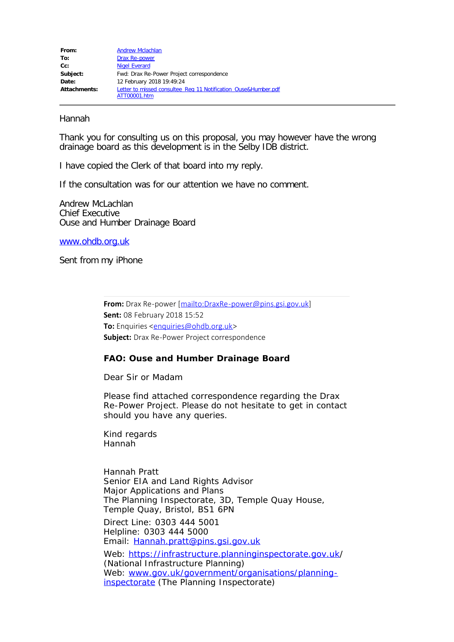## Hannah

Thank you for consulting us on this proposal, you may however have the wrong drainage board as this development is in the Selby IDB district.

I have copied the Clerk of that board into my reply.

If the consultation was for our attention we have no comment.

Andrew McLachlan Chief Executive Ouse and Humber Drainage Board

[www.ohdb.org.uk](http://www.ohdb.org.uk/)

Sent from my iPhone

**From:** Drax Re-power [[mailto:DraxRe-power@pins.gsi.gov.uk\]](mailto:DraxRe-power@pins.gsi.gov.uk) **Sent:** 08 February 2018 15:52 **To:** Enquiries <**enquiries@ohdb.org.uk> Subject:** Drax Re-Power Project correspondence

## **FAO: Ouse and Humber Drainage Board**

Dear Sir or Madam

Please find attached correspondence regarding the Drax Re-Power Project. Please do not hesitate to get in contact should you have any queries.

Kind regards Hannah

Hannah Pratt Senior EIA and Land Rights Advisor Major Applications and Plans The Planning Inspectorate, 3D, Temple Quay House, Temple Quay, Bristol, BS1 6PN

Direct Line: 0303 444 5001 Helpline: 0303 444 5000 Email: [Hannah.pratt@pins.gsi.gov.uk](mailto:Hannah.pratt@pins.gsi.gov.uk)

Web: <https://infrastructure.planninginspectorate.gov.uk/> (National Infrastructure Planning) Web: [www.gov.uk/government/organisations/planning](http://www.gov.uk/government/organisations/planning-inspectorate)[inspectorate](http://www.gov.uk/government/organisations/planning-inspectorate) (The Planning Inspectorate)